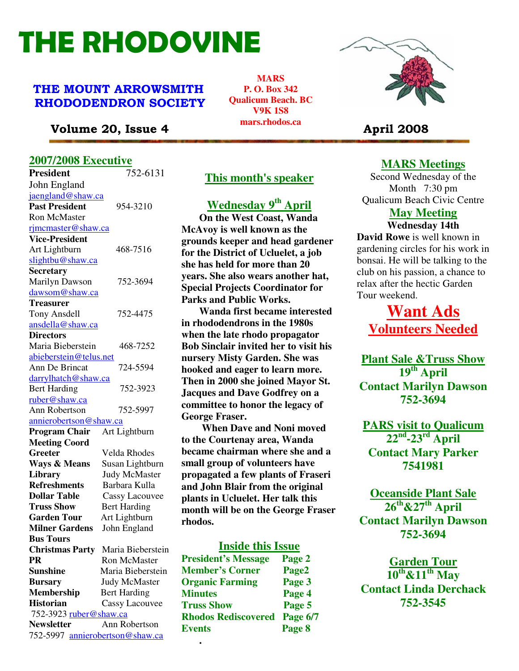# THE RHODOVINE

## THE MOUNT ARROWSMITH RHODODENDRON SOCIETY

**MARS P. O. Box 342 Qualicum Beach. BC V9K 1S8 mars.rhodos.ca** 



## Volume 20, Issue 4 **April 2008 April 2008**

## **2007/2008 Executive**

| <b>President</b>                | 752-6131                          |
|---------------------------------|-----------------------------------|
| John England                    |                                   |
| jaengland@shaw.ca               |                                   |
| <b>Past President</b>           | 954-3210                          |
| <b>Ron McMaster</b>             |                                   |
| rimcmaster@shaw.ca              |                                   |
| <b>Vice-President</b>           |                                   |
| Art Lightburn                   | 468-7516                          |
| slightbu@shaw.ca                |                                   |
| Secretary                       |                                   |
| <b>Marilyn Dawson</b>           | 752-3694                          |
| dawsom@shaw.ca                  |                                   |
| <b>Treasurer</b>                |                                   |
| <b>Tony Ansdell</b>             | 752-4475                          |
| ansdella@shaw.ca                |                                   |
| <b>Directors</b>                |                                   |
| Maria Bieberstein               | 468-7252                          |
| abieberstein@telus.net          |                                   |
| Ann De Brincat                  | 724-5594                          |
| <u>darrylhatch@shaw.ca</u>      |                                   |
| <b>Bert Harding</b>             | 752-3923                          |
| ruber@shaw.ca                   |                                   |
| Ann Robertson                   | 752-5997                          |
| <u>annierobertson@shaw.ca</u>   |                                   |
| <b>Program Chair</b>            | Art Lightburn                     |
| <b>Meeting Coord</b>            |                                   |
| Greeter                         | Velda Rhodes                      |
| <b>Ways &amp; Means</b>         | Susan Lightburn                   |
| <b>Library</b>                  | <b>Judy McMaster</b>              |
| <b>Refreshments</b>             | Barbara Kulla                     |
| <b>Dollar Table</b>             | <b>Cassy Lacouvee</b>             |
| <b>Truss Show</b>               | <b>Bert Harding</b>               |
| <b>Garden Tour</b>              | Art Lightburn                     |
| <b>Milner Gardens</b>           | John England                      |
| <b>Bus Tours</b>                |                                   |
|                                 | Christmas Party Maria Bieberstein |
| <b>PR</b>                       | <b>Ron McMaster</b>               |
| <b>Sunshine</b>                 | Maria Bieberstein                 |
| <b>Bursary</b>                  | <b>Judy McMaster</b>              |
| <b>Membership</b>               | <b>Bert Harding</b>               |
| <b>Historian</b>                | Cassy Lacouvee                    |
| 752-3923 ruber@shaw.ca          |                                   |
| <b>Newsletter</b>               | Ann Robertson                     |
| 752-5997 annierobertson@shaw.ca |                                   |

## **This month's speaker**

## **Wednesday 9th April**

 **On the West Coast, Wanda McAvoy is well known as the grounds keeper and head gardener for the District of Ucluelet, a job she has held for more than 20 years. She also wears another hat, Special Projects Coordinator for Parks and Public Works.** 

 **Wanda first became interested in rhododendrons in the 1980s when the late rhodo propagator Bob Sinclair invited her to visit his nursery Misty Garden. She was hooked and eager to learn more. Then in 2000 she joined Mayor St. Jacques and Dave Godfrey on a committee to honor the legacy of George Fraser.** 

 **When Dave and Noni moved to the Courtenay area, Wanda became chairman where she and a small group of volunteers have propagated a few plants of Fraseri and John Blair from the original plants in Ucluelet. Her talk this month will be on the George Fraser rhodos.** 

## **Inside this Issue**

| Спгвлика гаге          | waana Dicocrotem                |                            |          |
|------------------------|---------------------------------|----------------------------|----------|
| PR                     | Ron McMaster                    | <b>President's Message</b> | Page 2   |
| Sunshine               | Maria Bieberstein               | <b>Member's Corner</b>     | Page2    |
| Bursary                | <b>Judy McMaster</b>            | <b>Organic Farming</b>     | Page 3   |
| Membership             | <b>Bert Harding</b>             | <b>Minutes</b>             | Page 4   |
| Historian              | <b>Cassy Lacouvee</b>           | <b>Truss Show</b>          | Page 5   |
| 752-3923 ruber@shaw.ca |                                 | <b>Rhodos Rediscovered</b> | Page 6/7 |
| <b>Newsletter</b>      | Ann Robertson                   | <b>Events</b>              | Page 8   |
|                        | 752-5997 annierobertson@shaw.ca |                            |          |
|                        |                                 | ٠                          |          |

## **MARS Meetings**

Second Wednesday of the Month 7:30 pm Qualicum Beach Civic Centre

## **May Meeting**

**Wednesday 14th David Rowe** is well known in gardening circles for his work in bonsai. He will be talking to the club on his passion, a chance to relax after the hectic Garden Tour weekend.

**Want Ads Volunteers Needed**

**Plant Sale &Truss Show 19th April Contact Marilyn Dawson 752-3694** 

**PARS visit to Qualicum 22nd-23rd April Contact Mary Parker 7541981** 

**Oceanside Plant Sale 26th&27th April Contact Marilyn Dawson 752-3694** 

**Garden Tour 10th&11th May Contact Linda Derchack 752-3545**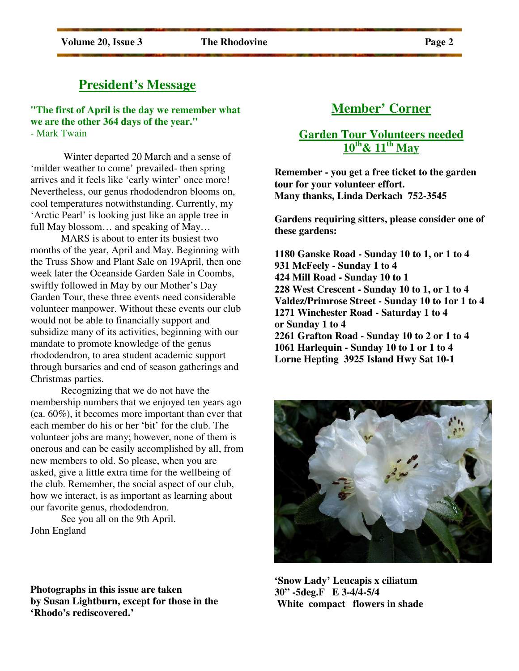## **President's Message**

**"The first of April is the day we remember what we are the other 364 days of the year."**  - Mark Twain

 Winter departed 20 March and a sense of 'milder weather to come' prevailed- then spring arrives and it feels like 'early winter' once more! Nevertheless, our genus rhododendron blooms on, cool temperatures notwithstanding. Currently, my 'Arctic Pearl' is looking just like an apple tree in full May blossom… and speaking of May…

 MARS is about to enter its busiest two months of the year, April and May. Beginning with the Truss Show and Plant Sale on 19April, then one week later the Oceanside Garden Sale in Coombs, swiftly followed in May by our Mother's Day Garden Tour, these three events need considerable volunteer manpower. Without these events our club would not be able to financially support and subsidize many of its activities, beginning with our mandate to promote knowledge of the genus rhododendron, to area student academic support through bursaries and end of season gatherings and Christmas parties.

 Recognizing that we do not have the membership numbers that we enjoyed ten years ago (ca. 60%), it becomes more important than ever that each member do his or her 'bit' for the club. The volunteer jobs are many; however, none of them is onerous and can be easily accomplished by all, from new members to old. So please, when you are asked, give a little extra time for the wellbeing of the club. Remember, the social aspect of our club, how we interact, is as important as learning about our favorite genus, rhododendron.

 See you all on the 9th April. John England

**Photographs in this issue are taken by Susan Lightburn, except for those in the 'Rhodo's rediscovered.'** 

# **Member' Corner**

## **Garden Tour Volunteers needed 10th& 11th May**

**Remember - you get a free ticket to the garden tour for your volunteer effort. Many thanks, Linda Derkach 752-3545** 

**Gardens requiring sitters, please consider one of these gardens:** 

**1180 Ganske Road - Sunday 10 to 1, or 1 to 4 931 McFeely - Sunday 1 to 4 424 Mill Road - Sunday 10 to 1 228 West Crescent - Sunday 10 to 1, or 1 to 4 Valdez/Primrose Street - Sunday 10 to 1or 1 to 4 1271 Winchester Road - Saturday 1 to 4 or Sunday 1 to 4 2261 Grafton Road - Sunday 10 to 2 or 1 to 4 1061 Harlequin - Sunday 10 to 1 or 1 to 4 Lorne Hepting 3925 Island Hwy Sat 10-1** 

**'Snow Lady' Leucapis x ciliatum 30" -5deg.F E 3-4/4-5/4 White compact flowers in shade** 

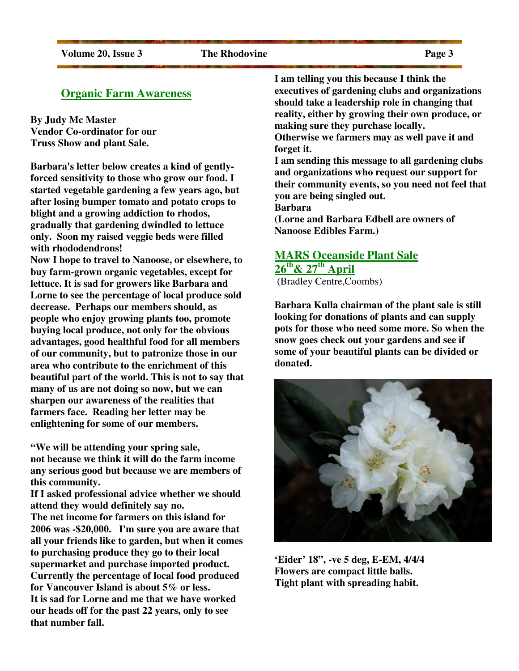## **Organic Farm Awareness**

**By Judy Mc Master Vendor Co-ordinator for our Truss Show and plant Sale.** 

**Barbara's letter below creates a kind of gentlyforced sensitivity to those who grow our food. I started vegetable gardening a few years ago, but after losing bumper tomato and potato crops to blight and a growing addiction to rhodos, gradually that gardening dwindled to lettuce only. Soon my raised veggie beds were filled with rhododendrons!** 

**Now I hope to travel to Nanoose, or elsewhere, to buy farm-grown organic vegetables, except for lettuce. It is sad for growers like Barbara and Lorne to see the percentage of local produce sold decrease. Perhaps our members should, as people who enjoy growing plants too, promote buying local produce, not only for the obvious advantages, good healthful food for all members of our community, but to patronize those in our area who contribute to the enrichment of this beautiful part of the world. This is not to say that many of us are not doing so now, but we can sharpen our awareness of the realities that farmers face. Reading her letter may be enlightening for some of our members.** 

**"We will be attending your spring sale, not because we think it will do the farm income any serious good but because we are members of this community.** 

**If I asked professional advice whether we should attend they would definitely say no. The net income for farmers on this island for 2006 was -\$20,000. I'm sure you are aware that all your friends like to garden, but when it comes to purchasing produce they go to their local supermarket and purchase imported product. Currently the percentage of local food produced for Vancouver Island is about 5% or less. It is sad for Lorne and me that we have worked our heads off for the past 22 years, only to see that number fall.** 

**I am telling you this because I think the executives of gardening clubs and organizations should take a leadership role in changing that reality, either by growing their own produce, or making sure they purchase locally. Otherwise we farmers may as well pave it and** 

**forget it. I am sending this message to all gardening clubs and organizations who request our support for their community events, so you need not feel that you are being singled out.** 

**Barbara** 

**(Lorne and Barbara Edbell are owners of Nanoose Edibles Farm.)** 

## **MARS Oceanside Plant Sale 26th& 27th April**

(Bradley Centre,Coombs)

**Barbara Kulla chairman of the plant sale is still looking for donations of plants and can supply pots for those who need some more. So when the snow goes check out your gardens and see if some of your beautiful plants can be divided or donated.**



**'Eider' 18", -ve 5 deg, E-EM, 4/4/4 Flowers are compact little balls. Tight plant with spreading habit.**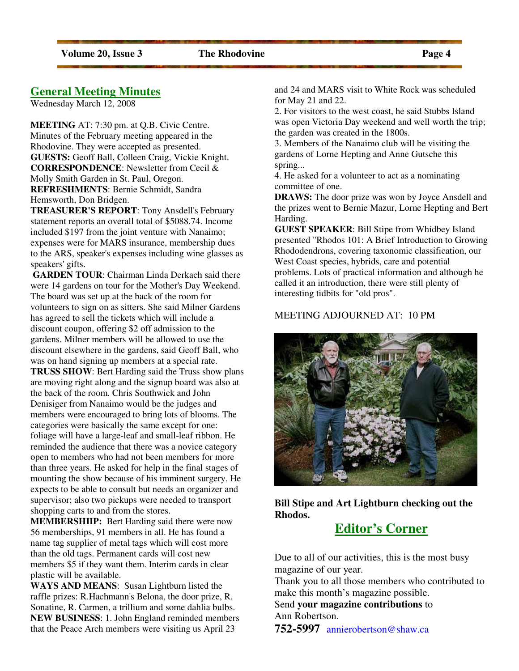## **General Meeting Minutes**

Wednesday March 12, 2008

**MEETING** AT: 7:30 pm. at Q.B. Civic Centre. Minutes of the February meeting appeared in the Rhodovine. They were accepted as presented. **GUESTS:** Geoff Ball, Colleen Craig, Vickie Knight. **CORRESPONDENCE**: Newsletter from Cecil & Molly Smith Garden in St. Paul, Oregon. **REFRESHMENTS**: Bernie Schmidt, Sandra Hemsworth, Don Bridgen.

**TREASURER'S REPORT**: Tony Ansdell's February statement reports an overall total of \$5088.74. Income included \$197 from the joint venture with Nanaimo; expenses were for MARS insurance, membership dues to the ARS, speaker's expenses including wine glasses as speakers' gifts.

**GARDEN TOUR**: Chairman Linda Derkach said there were 14 gardens on tour for the Mother's Day Weekend. The board was set up at the back of the room for volunteers to sign on as sitters. She said Milner Gardens has agreed to sell the tickets which will include a discount coupon, offering \$2 off admission to the gardens. Milner members will be allowed to use the discount elsewhere in the gardens, said Geoff Ball, who was on hand signing up members at a special rate. **TRUSS SHOW**: Bert Harding said the Truss show plans are moving right along and the signup board was also at the back of the room. Chris Southwick and John Denisiger from Nanaimo would be the judges and members were encouraged to bring lots of blooms. The categories were basically the same except for one: foliage will have a large-leaf and small-leaf ribbon. He reminded the audience that there was a novice category open to members who had not been members for more than three years. He asked for help in the final stages of mounting the show because of his imminent surgery. He expects to be able to consult but needs an organizer and supervisor; also two pickups were needed to transport shopping carts to and from the stores.

**MEMBERSHIIP:** Bert Harding said there were now 56 memberships, 91 members in all. He has found a name tag supplier of metal tags which will cost more than the old tags. Permanent cards will cost new members \$5 if they want them. Interim cards in clear plastic will be available.

**WAYS AND MEANS**: Susan Lightburn listed the raffle prizes: R.Hachmann's Belona, the door prize, R. Sonatine, R. Carmen, a trillium and some dahlia bulbs. **NEW BUSINESS**: 1. John England reminded members that the Peace Arch members were visiting us April 23

and 24 and MARS visit to White Rock was scheduled for May 21 and 22.

2. For visitors to the west coast, he said Stubbs Island was open Victoria Day weekend and well worth the trip; the garden was created in the 1800s.

3. Members of the Nanaimo club will be visiting the gardens of Lorne Hepting and Anne Gutsche this spring...

4. He asked for a volunteer to act as a nominating committee of one.

**DRAWS:** The door prize was won by Joyce Ansdell and the prizes went to Bernie Mazur, Lorne Hepting and Bert Harding.

**GUEST SPEAKER**: Bill Stipe from Whidbey Island presented "Rhodos 101: A Brief Introduction to Growing Rhododendrons, covering taxonomic classification, our West Coast species, hybrids, care and potential problems. Lots of practical information and although he called it an introduction, there were still plenty of interesting tidbits for "old pros".

#### MEETING ADJOURNED AT: 10 PM



**Bill Stipe and Art Lightburn checking out the Rhodos.** 

## **Editor's Corner**

Due to all of our activities, this is the most busy magazine of our year.

Thank you to all those members who contributed to make this month's magazine possible.

Send **your magazine contributions** to Ann Robertson.

**752-5997** annierobertson@shaw.ca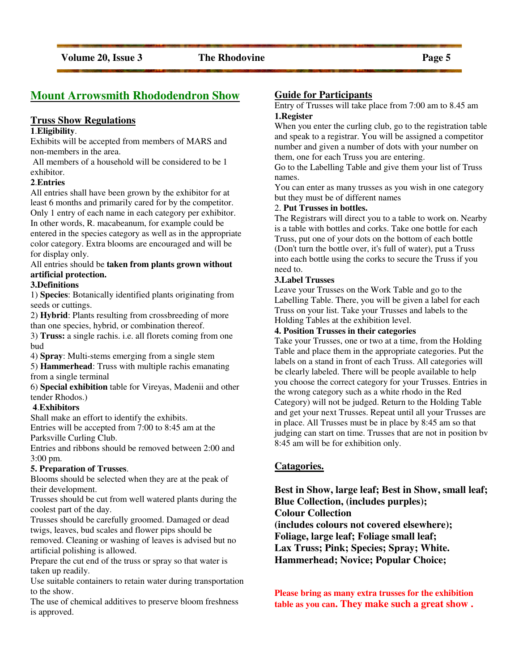## **Mount Arrowsmith Rhododendron Show**

#### **Truss Show Regulations**

#### **1**.**Eligibility**.

Exhibits will be accepted from members of MARS and non-members in the area.

 All members of a household will be considered to be 1 exhibitor.

#### **2**.**Entries**

All entries shall have been grown by the exhibitor for at least 6 months and primarily cared for by the competitor. Only 1 entry of each name in each category per exhibitor. In other words, R. macabeanum, for example could be entered in the species category as well as in the appropriate color category. Extra blooms are encouraged and will be for display only.

#### All entries should be **taken from plants grown without artificial protection.**

#### **3.Definitions**

1) **Species**: Botanically identified plants originating from seeds or cuttings.

2) **Hybrid**: Plants resulting from crossbreeding of more than one species, hybrid, or combination thereof.

3) **Truss:** a single rachis. i.e. all florets coming from one bud

4) **Spray**: Multi-stems emerging from a single stem

5) **Hammerhead**: Truss with multiple rachis emanating from a single terminal

6) **Special exhibition** table for Vireyas, Madenii and other tender Rhodos.)

#### **4**.**Exhibitors**

Shall make an effort to identify the exhibits.

Entries will be accepted from 7:00 to 8:45 am at the Parksville Curling Club.

Entries and ribbons should be removed between 2:00 and 3:00 pm.

#### **5. Preparation of Trusses**.

Blooms should be selected when they are at the peak of their development.

Trusses should be cut from well watered plants during the coolest part of the day.

Trusses should be carefully groomed. Damaged or dead twigs, leaves, bud scales and flower pips should be removed. Cleaning or washing of leaves is advised but no artificial polishing is allowed.

Prepare the cut end of the truss or spray so that water is taken up readily.

Use suitable containers to retain water during transportation to the show.

The use of chemical additives to preserve bloom freshness is approved.

#### **Guide for Participants**

Entry of Trusses will take place from 7:00 am to 8.45 am **1.Register** 

When you enter the curling club, go to the registration table and speak to a registrar. You will be assigned a competitor number and given a number of dots with your number on them, one for each Truss you are entering.

Go to the Labelling Table and give them your list of Truss names.

You can enter as many trusses as you wish in one category but they must be of different names

#### 2. **Put Trusses in bottles.**

The Registrars will direct you to a table to work on. Nearby is a table with bottles and corks. Take one bottle for each Truss, put one of your dots on the bottom of each bottle (Don't turn the bottle over, it's full of water), put a Truss into each bottle using the corks to secure the Truss if you need to.

#### **3.Label Trusses**

Leave your Trusses on the Work Table and go to the Labelling Table. There, you will be given a label for each Truss on your list. Take your Trusses and labels to the Holding Tables at the exhibition level.

#### **4. Position Trusses in their categories**

Take your Trusses, one or two at a time, from the Holding Table and place them in the appropriate categories. Put the labels on a stand in front of each Truss. All categories will be clearly labeled. There will be people available to help you choose the correct category for your Trusses. Entries in the wrong category such as a white rhodo in the Red Category) will not be judged. Return to the Holding Table and get your next Trusses. Repeat until all your Trusses are in place. All Trusses must be in place by 8:45 am so that judging can start on time. Trusses that are not in position bv 8:45 am will be for exhibition only.

#### **Catagories.**

**Best in Show, large leaf; Best in Show, small leaf; Blue Collection, (includes purples); Colour Collection (includes colours not covered elsewhere); Foliage, large leaf; Foliage small leaf; Lax Truss; Pink; Species; Spray; White. Hammerhead; Novice; Popular Choice;** 

**Please bring as many extra trusses for the exhibition table as you can. They make such a great show .**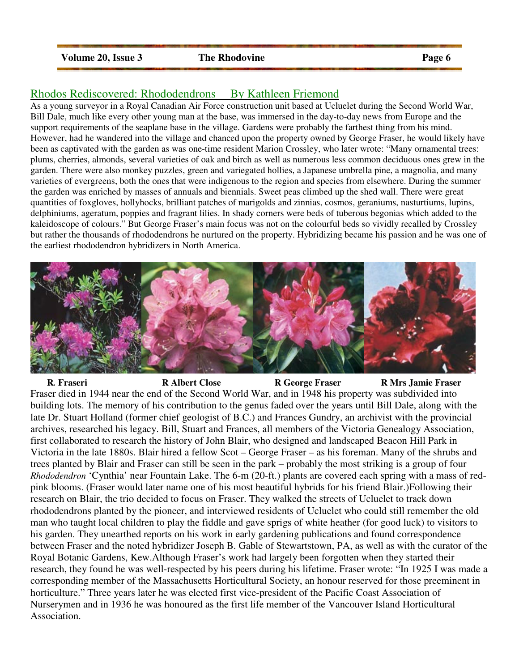#### **Volume 20, Issue 3** The Rhodovine Page 6

## Rhodos Rediscovered: Rhododendrons By Kathleen Friemond

As a young surveyor in a Royal Canadian Air Force construction unit based at Ucluelet during the Second World War, Bill Dale, much like every other young man at the base, was immersed in the day-to-day news from Europe and the support requirements of the seaplane base in the village. Gardens were probably the farthest thing from his mind. However, had he wandered into the village and chanced upon the property owned by George Fraser, he would likely have been as captivated with the garden as was one-time resident Marion Crossley, who later wrote: "Many ornamental trees: plums, cherries, almonds, several varieties of oak and birch as well as numerous less common deciduous ones grew in the garden. There were also monkey puzzles, green and variegated hollies, a Japanese umbrella pine, a magnolia, and many varieties of evergreens, both the ones that were indigenous to the region and species from elsewhere. During the summer the garden was enriched by masses of annuals and biennials. Sweet peas climbed up the shed wall. There were great quantities of foxgloves, hollyhocks, brilliant patches of marigolds and zinnias, cosmos, geraniums, nasturtiums, lupins, delphiniums, ageratum, poppies and fragrant lilies. In shady corners were beds of tuberous begonias which added to the kaleidoscope of colours." But George Fraser's main focus was not on the colourful beds so vividly recalled by Crossley but rather the thousands of rhododendrons he nurtured on the property. Hybridizing became his passion and he was one of the earliest rhododendron hybridizers in North America.



 **R***.* **Fraseri R Albert Close R George Fraser R Mrs Jamie Fraser** Fraser died in 1944 near the end of the Second World War, and in 1948 his property was subdivided into building lots. The memory of his contribution to the genus faded over the years until Bill Dale, along with the late Dr. Stuart Holland (former chief geologist of B.C.) and Frances Gundry, an archivist with the provincial archives, researched his legacy. Bill, Stuart and Frances, all members of the Victoria Genealogy Association, first collaborated to research the history of John Blair, who designed and landscaped Beacon Hill Park in Victoria in the late 1880s. Blair hired a fellow Scot – George Fraser – as his foreman. Many of the shrubs and trees planted by Blair and Fraser can still be seen in the park – probably the most striking is a group of four *Rhododendron* 'Cynthia' near Fountain Lake. The 6-m (20-ft.) plants are covered each spring with a mass of redpink blooms. (Fraser would later name one of his most beautiful hybrids for his friend Blair.)Following their research on Blair, the trio decided to focus on Fraser. They walked the streets of Ucluelet to track down rhododendrons planted by the pioneer, and interviewed residents of Ucluelet who could still remember the old man who taught local children to play the fiddle and gave sprigs of white heather (for good luck) to visitors to his garden. They unearthed reports on his work in early gardening publications and found correspondence between Fraser and the noted hybridizer Joseph B. Gable of Stewartstown, PA, as well as with the curator of the Royal Botanic Gardens, Kew.Although Fraser's work had largely been forgotten when they started their research, they found he was well-respected by his peers during his lifetime. Fraser wrote: "In 1925 I was made a corresponding member of the Massachusetts Horticultural Society, an honour reserved for those preeminent in horticulture." Three years later he was elected first vice-president of the Pacific Coast Association of Nurserymen and in 1936 he was honoured as the first life member of the Vancouver Island Horticultural Association.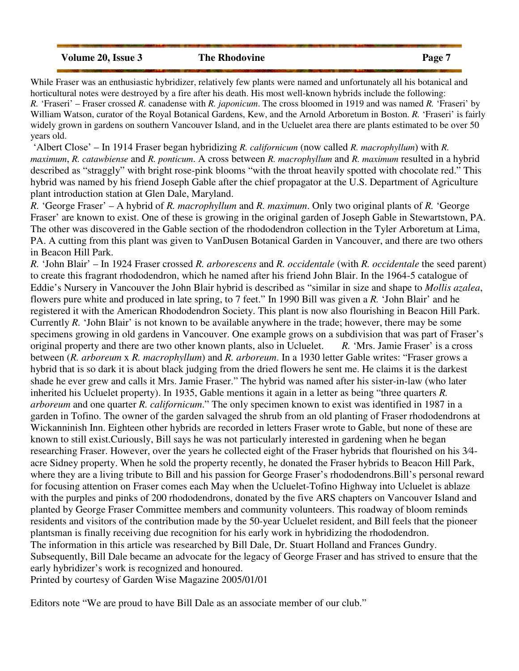**Volume 20, Issue 3** The Rhodovine Page 7

While Fraser was an enthusiastic hybridizer, relatively few plants were named and unfortunately all his botanical and horticultural notes were destroyed by a fire after his death. His most well-known hybrids include the following: *R.* 'Fraseri' – Fraser crossed *R.* canadense with *R. japonicum*. The cross bloomed in 1919 and was named *R.* 'Fraseri' by William Watson, curator of the Royal Botanical Gardens, Kew, and the Arnold Arboretum in Boston. *R.* 'Fraseri' is fairly widely grown in gardens on southern Vancouver Island, and in the Ucluelet area there are plants estimated to be over 50 years old.

 'Albert Close' – In 1914 Fraser began hybridizing *R. californicum* (now called *R. macrophyllum*) with *R. maximum*, *R. catawbiense* and *R. ponticum*. A cross between *R. macrophyllum* and *R. maximum* resulted in a hybrid described as "straggly" with bright rose-pink blooms "with the throat heavily spotted with chocolate red." This hybrid was named by his friend Joseph Gable after the chief propagator at the U.S. Department of Agriculture plant introduction station at Glen Dale, Maryland.

*R.* 'George Fraser' – A hybrid of *R. macrophyllum* and *R. maximum*. Only two original plants of *R.* 'George Fraser' are known to exist. One of these is growing in the original garden of Joseph Gable in Stewartstown, PA. The other was discovered in the Gable section of the rhododendron collection in the Tyler Arboretum at Lima, PA. A cutting from this plant was given to VanDusen Botanical Garden in Vancouver, and there are two others in Beacon Hill Park.

*R.* 'John Blair' – In 1924 Fraser crossed *R. arborescens* and *R. occidentale* (with *R. occidentale* the seed parent) to create this fragrant rhododendron, which he named after his friend John Blair. In the 1964-5 catalogue of Eddie's Nursery in Vancouver the John Blair hybrid is described as "similar in size and shape to *Mollis azalea*, flowers pure white and produced in late spring, to 7 feet." In 1990 Bill was given a *R.* 'John Blair' and he registered it with the American Rhododendron Society. This plant is now also flourishing in Beacon Hill Park. Currently *R.* 'John Blair' is not known to be available anywhere in the trade; however, there may be some specimens growing in old gardens in Vancouver. One example grows on a subdivision that was part of Fraser's original property and there are two other known plants, also in Ucluelet. *R.* 'Mrs. Jamie Fraser' is a cross between (*R. arboreum* x *R. macrophyllum*) and *R. arboreum*. In a 1930 letter Gable writes: "Fraser grows a hybrid that is so dark it is about black judging from the dried flowers he sent me. He claims it is the darkest shade he ever grew and calls it Mrs. Jamie Fraser." The hybrid was named after his sister-in-law (who later inherited his Ucluelet property). In 1935, Gable mentions it again in a letter as being "three quarters *R. arboreum* and one quarter *R. californicum*." The only specimen known to exist was identified in 1987 in a garden in Tofino. The owner of the garden salvaged the shrub from an old planting of Fraser rhododendrons at Wickanninish Inn. Eighteen other hybrids are recorded in letters Fraser wrote to Gable, but none of these are known to still exist.Curiously, Bill says he was not particularly interested in gardening when he began researching Fraser. However, over the years he collected eight of the Fraser hybrids that flourished on his 3⁄4 acre Sidney property. When he sold the property recently, he donated the Fraser hybrids to Beacon Hill Park, where they are a living tribute to Bill and his passion for George Fraser's rhododendrons.Bill's personal reward for focusing attention on Fraser comes each May when the Ucluelet-Tofino Highway into Ucluelet is ablaze with the purples and pinks of 200 rhododendrons, donated by the five ARS chapters on Vancouver Island and planted by George Fraser Committee members and community volunteers. This roadway of bloom reminds residents and visitors of the contribution made by the 50-year Ucluelet resident, and Bill feels that the pioneer plantsman is finally receiving due recognition for his early work in hybridizing the rhododendron. The information in this article was researched by Bill Dale, Dr. Stuart Holland and Frances Gundry. Subsequently, Bill Dale became an advocate for the legacy of George Fraser and has strived to ensure that the early hybridizer's work is recognized and honoured. Printed by courtesy of Garden Wise Magazine 2005/01/01

Editors note "We are proud to have Bill Dale as an associate member of our club."